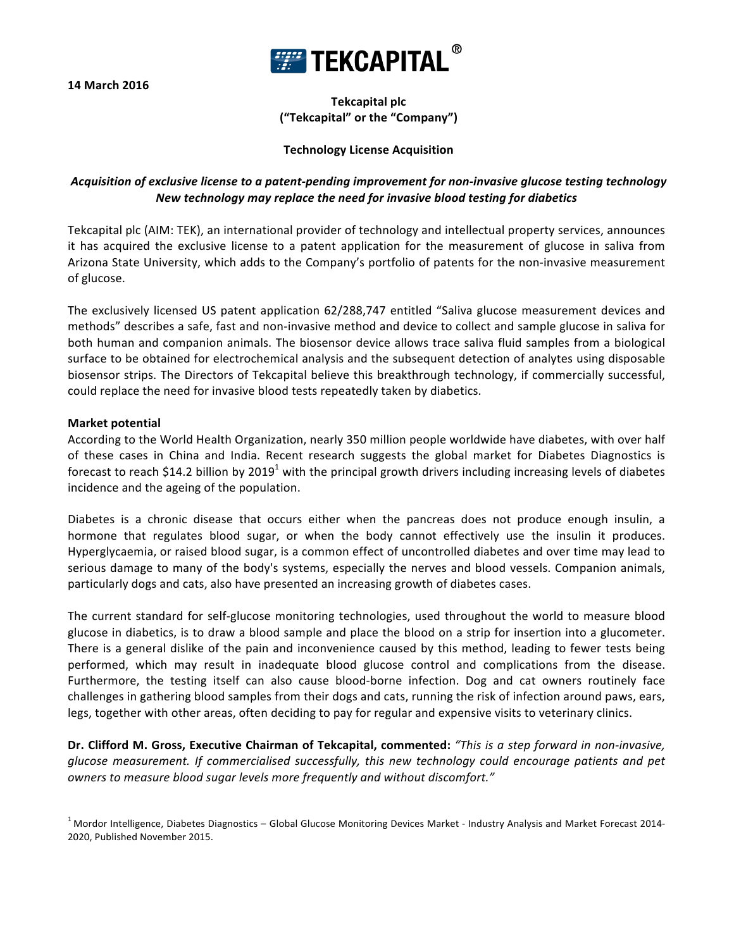**14 March 2016**



**Tekcapital plc ("Tekcapital" or the "Company")**

## **Technology License Acquisition**

# *Acquisition of exclusive license to a patent-pending improvement for non-invasive glucose testing technology New technology may replace the need for invasive blood testing for diabetics*

Tekcapital plc (AIM: TEK), an international provider of technology and intellectual property services, announces it has acquired the exclusive license to a patent application for the measurement of glucose in saliva from Arizona State University, which adds to the Company's portfolio of patents for the non-invasive measurement of glucose.

The exclusively licensed US patent application 62/288,747 entitled "Saliva glucose measurement devices and methods" describes a safe, fast and non-invasive method and device to collect and sample glucose in saliva for both human and companion animals. The biosensor device allows trace saliva fluid samples from a biological surface to be obtained for electrochemical analysis and the subsequent detection of analytes using disposable biosensor strips. The Directors of Tekcapital believe this breakthrough technology, if commercially successful, could replace the need for invasive blood tests repeatedly taken by diabetics.

### **Market potential**

According to the World Health Organization, nearly 350 million people worldwide have diabetes, with over half of these cases in China and India. Recent research suggests the global market for Diabetes Diagnostics is forecast to reach \$14.2 billion by  $2019^1$  with the principal growth drivers including increasing levels of diabetes incidence and the ageing of the population.

Diabetes is a chronic disease that occurs either when the pancreas does not produce enough insulin, a hormone that regulates blood sugar, or when the body cannot effectively use the insulin it produces. Hyperglycaemia, or raised blood sugar, is a common effect of uncontrolled diabetes and over time may lead to serious damage to many of the body's systems, especially the nerves and blood vessels. Companion animals, particularly dogs and cats, also have presented an increasing growth of diabetes cases.

The current standard for self-glucose monitoring technologies, used throughout the world to measure blood glucose in diabetics, is to draw a blood sample and place the blood on a strip for insertion into a glucometer. There is a general dislike of the pain and inconvenience caused by this method, leading to fewer tests being performed, which may result in inadequate blood glucose control and complications from the disease. Furthermore, the testing itself can also cause blood-borne infection. Dog and cat owners routinely face challenges in gathering blood samples from their dogs and cats, running the risk of infection around paws, ears, legs, together with other areas, often deciding to pay for regular and expensive visits to veterinary clinics.

Dr. Clifford M. Gross, Executive Chairman of Tekcapital, commented: "This is a step forward in non-invasive, *glucose measurement. If commercialised successfully, this new technology could encourage patients and pet owners* to measure blood sugar levels more frequently and without discomfort."

 $1$  Mordor Intelligence, Diabetes Diagnostics – Global Glucose Monitoring Devices Market - Industry Analysis and Market Forecast 2014-2020, Published November 2015.